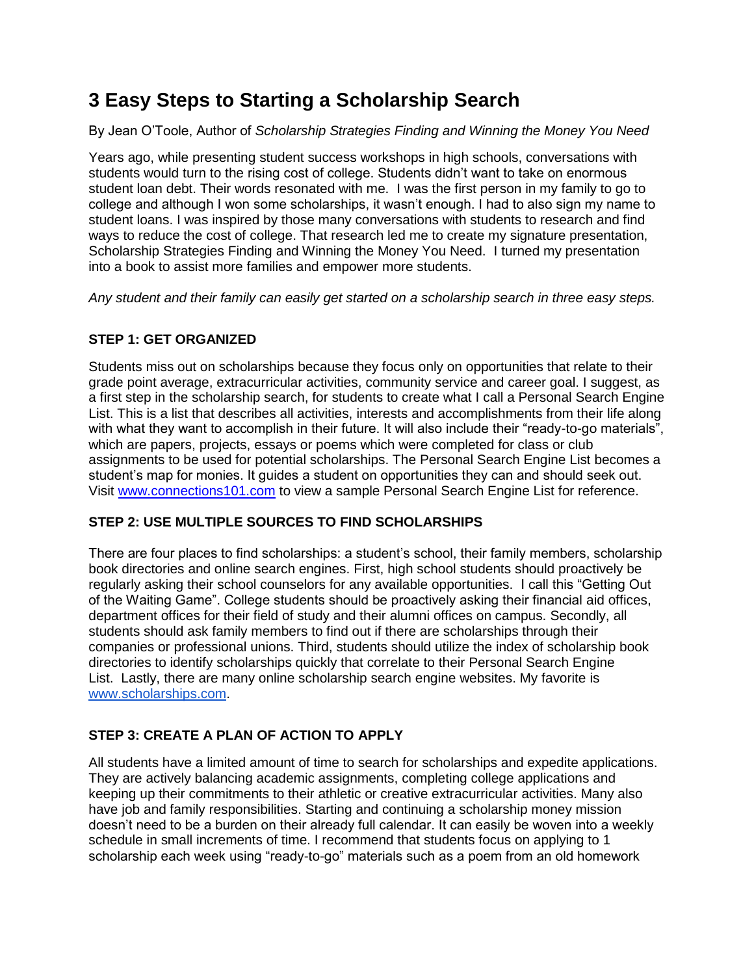## **3 Easy Steps to Starting a Scholarship Search**

By Jean O'Toole, Author of *Scholarship Strategies Finding and Winning the Money You Need*

Years ago, while presenting student success workshops in high schools, conversations with students would turn to the rising cost of college. Students didn't want to take on enormous student loan debt. Their words resonated with me. I was the first person in my family to go to college and although I won some scholarships, it wasn't enough. I had to also sign my name to student loans. I was inspired by those many conversations with students to research and find ways to reduce the cost of college. That research led me to create my signature presentation, Scholarship Strategies Finding and Winning the Money You Need. I turned my presentation into a book to assist more families and empower more students.

*Any student and their family can easily get started on a scholarship search in three easy steps.*

## **STEP 1: GET ORGANIZED**

Students miss out on scholarships because they focus only on opportunities that relate to their grade point average, extracurricular activities, community service and career goal. I suggest, as a first step in the scholarship search, for students to create what I call a Personal Search Engine List. This is a list that describes all activities, interests and accomplishments from their life along with what they want to accomplish in their future. It will also include their "ready-to-go materials", which are papers, projects, essays or poems which were completed for class or club assignments to be used for potential scholarships. The Personal Search Engine List becomes a student's map for monies. It guides a student on opportunities they can and should seek out. Visit [www.connections101.com](http://www.connections101.com/) to view a sample Personal Search Engine List for reference.

## **STEP 2: USE MULTIPLE SOURCES TO FIND SCHOLARSHIPS**

There are four places to find scholarships: a student's school, their family members, scholarship book directories and online search engines. First, high school students should proactively be regularly asking their school counselors for any available opportunities. I call this "Getting Out of the Waiting Game". College students should be proactively asking their financial aid offices, department offices for their field of study and their alumni offices on campus. Secondly, all students should ask family members to find out if there are scholarships through their companies or professional unions. Third, students should utilize the index of scholarship book directories to identify scholarships quickly that correlate to their Personal Search Engine List. Lastly, there are many online scholarship search engine websites. My favorite is [www.scholarships.com.](http://www.scholarships.com/)

## **STEP 3: CREATE A PLAN OF ACTION TO APPLY**

All students have a limited amount of time to search for scholarships and expedite applications. They are actively balancing academic assignments, completing college applications and keeping up their commitments to their athletic or creative extracurricular activities. Many also have job and family responsibilities. Starting and continuing a scholarship money mission doesn't need to be a burden on their already full calendar. It can easily be woven into a weekly schedule in small increments of time. I recommend that students focus on applying to 1 scholarship each week using "ready-to-go" materials such as a poem from an old homework